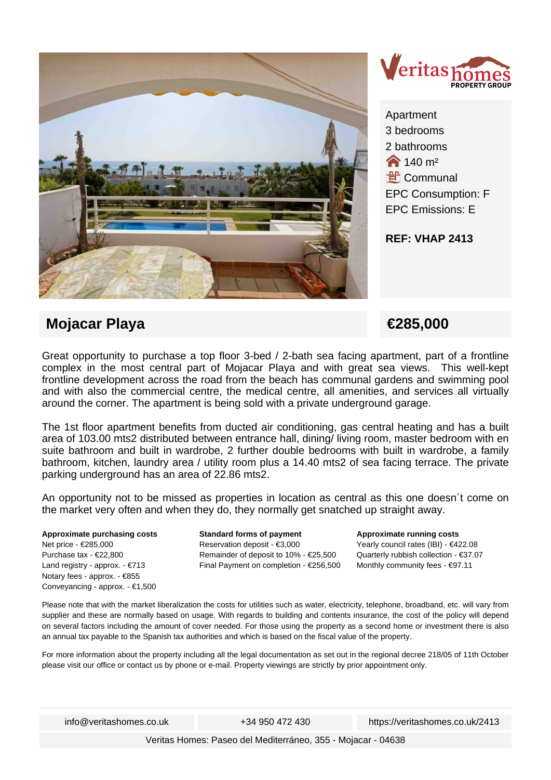



Apartment 3 bedrooms 2 bathrooms  $\bigotimes$  140 m<sup>2</sup> **Let Communal** EPC Consumption: F EPC Emissions: E

**REF: VHAP 2413**

## **Mojacar Playa €285,000**

Great opportunity to purchase a top floor 3-bed / 2-bath sea facing apartment, part of a frontline complex in the most central part of Mojacar Playa and with great sea views. This well-kept frontline development across the road from the beach has communal gardens and swimming pool and with also the commercial centre, the medical centre, all amenities, and services all virtually around the corner. The apartment is being sold with a private underground garage.

The 1st floor apartment benefits from ducted air conditioning, gas central heating and has a built area of 103.00 mts2 distributed between entrance hall, dining/ living room, master bedroom with en suite bathroom and built in wardrobe, 2 further double bedrooms with built in wardrobe, a family bathroom, kitchen, laundry area / utility room plus a 14.40 mts2 of sea facing terrace. The private parking underground has an area of 22.86 mts2.

An opportunity not to be missed as properties in location as central as this one doesn´t come on the market very often and when they do, they normally get snatched up straight away.

**Approximate purchasing costs** Net price - €285,000 Purchase tax - €22,800 Land registry - approx. - €713 Notary fees - approx. - €855 Conveyancing - approx. - €1,500 **Standard forms of payment** Reservation deposit - €3,000 Remainder of deposit to 10% - €25,500 Final Payment on completion - €256,500 **Approximate running costs** Yearly council rates (IBI) - €422.08 Quarterly rubbish collection - €37.07 Monthly community fees - €97.11

Please note that with the market liberalization the costs for utilities such as water, electricity, telephone, broadband, etc. will vary from supplier and these are normally based on usage. With regards to building and contents insurance, the cost of the policy will depend on several factors including the amount of cover needed. For those using the property as a second home or investment there is also an annual tax payable to the Spanish tax authorities and which is based on the fiscal value of the property.

For more information about the property including all the legal documentation as set out in the regional decree 218/05 of 11th October please visit our office or contact us by phone or e-mail. Property viewings are strictly by prior appointment only.

info@veritashomes.co.uk +34 950 472 430 https://veritashomes.co.uk/2413

Veritas Homes: Paseo del Mediterráneo, 355 - Mojacar - 04638